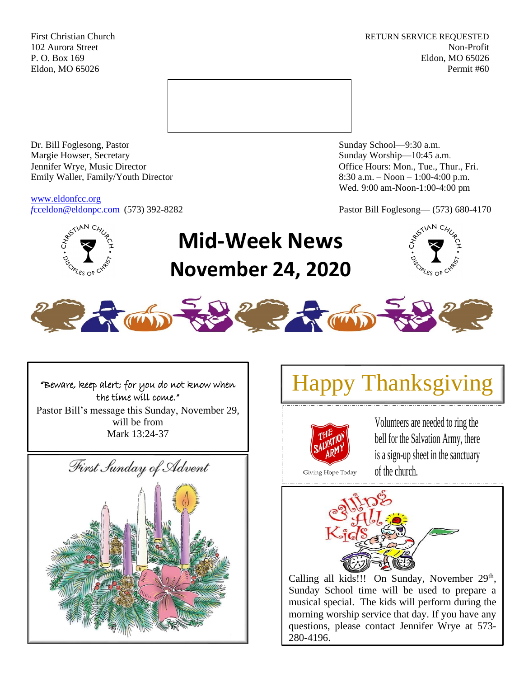First Christian Church **RETURN SERVICE REQUESTED** 102 Aurora Street Non-Profit P. O. Box 169 Eldon, MO 65026 Eldon, MO 65026 Permit #60



Dr. Bill Foglesong, Pastor Sunday School—9:30 a.m. Margie Howser, Secretary Sunday Worship—10:45 a.m. Jennifer Wrye, Music Director Office Hours: Mon., Tue., Thur., Fri. Emily Waller, Family/Youth Director 8:30 a.m. – Noon – 1:00-4:00 p.m.

[www.eldonfcc.org](http://www.eldonfcc.org/)

Wed. 9:00 am-Noon-1:00-4:00 pm

*f*[cceldon@eldonpc.com](mailto:fcceldon@eldonpc.com) (573) 392-8282 Pastor Bill Foglesong— (573) 680-4170



## **Mid-Week News November 24, 2020**







# Happy Thanksgiving



Volunteers are needed to ring the bell for the Salvation Army, there is a sign-up sheet in the sanctuary of the church.



Calling all kids!!! On Sunday, November 29<sup>th</sup>, Sunday School time will be used to prepare a musical special. The kids will perform during the morning worship service that day. If you have any questions, please contact Jennifer Wrye at 573- 280-4196.